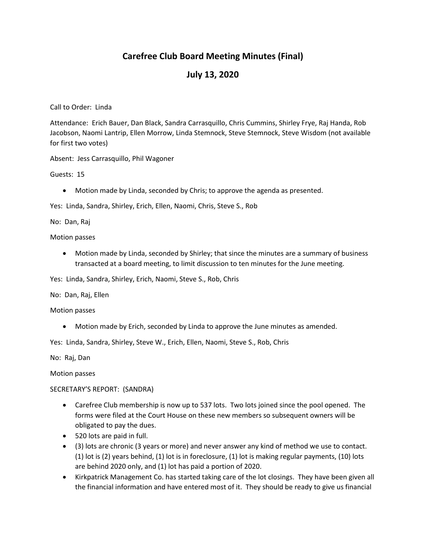# **Carefree Club Board Meeting Minutes (Final)**

## **July 13, 2020**

Call to Order: Linda

Attendance: Erich Bauer, Dan Black, Sandra Carrasquillo, Chris Cummins, Shirley Frye, Raj Handa, Rob Jacobson, Naomi Lantrip, Ellen Morrow, Linda Stemnock, Steve Stemnock, Steve Wisdom (not available for first two votes)

Absent: Jess Carrasquillo, Phil Wagoner

Guests: 15

Motion made by Linda, seconded by Chris; to approve the agenda as presented.

Yes: Linda, Sandra, Shirley, Erich, Ellen, Naomi, Chris, Steve S., Rob

No: Dan, Raj

Motion passes

 Motion made by Linda, seconded by Shirley; that since the minutes are a summary of business transacted at a board meeting, to limit discussion to ten minutes for the June meeting.

Yes: Linda, Sandra, Shirley, Erich, Naomi, Steve S., Rob, Chris

No: Dan, Raj, Ellen

Motion passes

Motion made by Erich, seconded by Linda to approve the June minutes as amended.

Yes: Linda, Sandra, Shirley, Steve W., Erich, Ellen, Naomi, Steve S., Rob, Chris

No: Raj, Dan

Motion passes

#### SECRETARY'S REPORT: (SANDRA)

- Carefree Club membership is now up to 537 lots. Two lots joined since the pool opened. The forms were filed at the Court House on these new members so subsequent owners will be obligated to pay the dues.
- 520 lots are paid in full.
- (3) lots are chronic (3 years or more) and never answer any kind of method we use to contact. (1) lot is (2) years behind, (1) lot is in foreclosure, (1) lot is making regular payments, (10) lots are behind 2020 only, and (1) lot has paid a portion of 2020.
- Kirkpatrick Management Co. has started taking care of the lot closings. They have been given all the financial information and have entered most of it. They should be ready to give us financial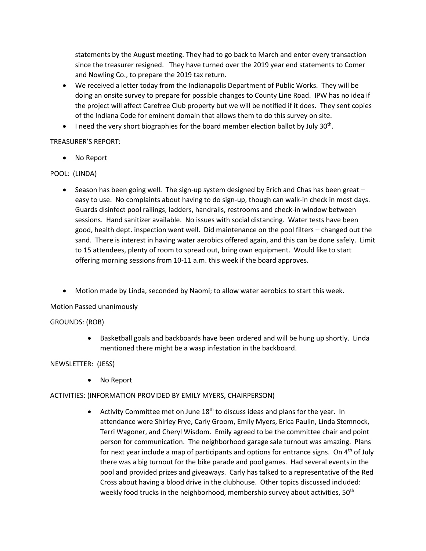statements by the August meeting. They had to go back to March and enter every transaction since the treasurer resigned. They have turned over the 2019 year end statements to Comer and Nowling Co., to prepare the 2019 tax return.

- We received a letter today from the Indianapolis Department of Public Works. They will be doing an onsite survey to prepare for possible changes to County Line Road. IPW has no idea if the project will affect Carefree Club property but we will be notified if it does. They sent copies of the Indiana Code for eminent domain that allows them to do this survey on site.
- $\bullet$  I need the very short biographies for the board member election ballot by July 30<sup>th</sup>.

## TREASURER'S REPORT:

• No Report

## POOL: (LINDA)

- Season has been going well. The sign-up system designed by Erich and Chas has been great easy to use. No complaints about having to do sign-up, though can walk-in check in most days. Guards disinfect pool railings, ladders, handrails, restrooms and check-in window between sessions. Hand sanitizer available. No issues with social distancing. Water tests have been good, health dept. inspection went well. Did maintenance on the pool filters – changed out the sand. There is interest in having water aerobics offered again, and this can be done safely. Limit to 15 attendees, plenty of room to spread out, bring own equipment. Would like to start offering morning sessions from 10-11 a.m. this week if the board approves.
- Motion made by Linda, seconded by Naomi; to allow water aerobics to start this week.

## Motion Passed unanimously

#### GROUNDS: (ROB)

 Basketball goals and backboards have been ordered and will be hung up shortly. Linda mentioned there might be a wasp infestation in the backboard.

#### NEWSLETTER: (JESS)

No Report

## ACTIVITIES: (INFORMATION PROVIDED BY EMILY MYERS, CHAIRPERSON)

• Activity Committee met on June 18<sup>th</sup> to discuss ideas and plans for the year. In attendance were Shirley Frye, Carly Groom, Emily Myers, Erica Paulin, Linda Stemnock, Terri Wagoner, and Cheryl Wisdom. Emily agreed to be the committee chair and point person for communication. The neighborhood garage sale turnout was amazing. Plans for next year include a map of participants and options for entrance signs. On  $4<sup>th</sup>$  of July there was a big turnout for the bike parade and pool games. Had several events in the pool and provided prizes and giveaways. Carly has talked to a representative of the Red Cross about having a blood drive in the clubhouse. Other topics discussed included: weekly food trucks in the neighborhood, membership survey about activities,  $50<sup>th</sup>$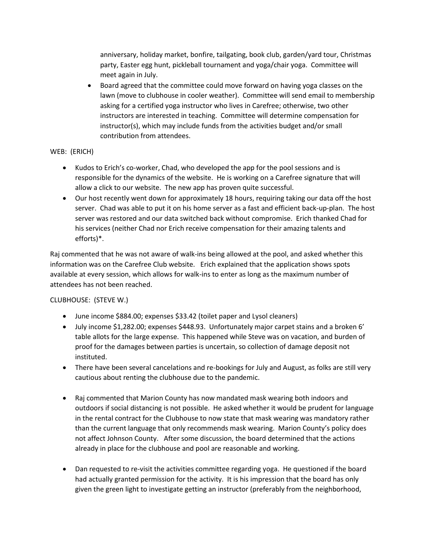anniversary, holiday market, bonfire, tailgating, book club, garden/yard tour, Christmas party, Easter egg hunt, pickleball tournament and yoga/chair yoga. Committee will meet again in July.

 Board agreed that the committee could move forward on having yoga classes on the lawn (move to clubhouse in cooler weather). Committee will send email to membership asking for a certified yoga instructor who lives in Carefree; otherwise, two other instructors are interested in teaching. Committee will determine compensation for instructor(s), which may include funds from the activities budget and/or small contribution from attendees.

## WEB: (ERICH)

- Kudos to Erich's co-worker, Chad, who developed the app for the pool sessions and is responsible for the dynamics of the website. He is working on a Carefree signature that will allow a click to our website. The new app has proven quite successful.
- Our host recently went down for approximately 18 hours, requiring taking our data off the host server. Chad was able to put it on his home server as a fast and efficient back-up-plan. The host server was restored and our data switched back without compromise. Erich thanked Chad for his services (neither Chad nor Erich receive compensation for their amazing talents and efforts)\*.

Raj commented that he was not aware of walk-ins being allowed at the pool, and asked whether this information was on the Carefree Club website. Erich explained that the application shows spots available at every session, which allows for walk-ins to enter as long as the maximum number of attendees has not been reached.

## CLUBHOUSE: (STEVE W.)

- June income \$884.00; expenses \$33.42 (toilet paper and Lysol cleaners)
- July income \$1,282.00; expenses \$448.93. Unfortunately major carpet stains and a broken 6' table allots for the large expense. This happened while Steve was on vacation, and burden of proof for the damages between parties is uncertain, so collection of damage deposit not instituted.
- There have been several cancelations and re-bookings for July and August, as folks are still very cautious about renting the clubhouse due to the pandemic.
- Raj commented that Marion County has now mandated mask wearing both indoors and outdoors if social distancing is not possible. He asked whether it would be prudent for language in the rental contract for the Clubhouse to now state that mask wearing was mandatory rather than the current language that only recommends mask wearing. Marion County's policy does not affect Johnson County. After some discussion, the board determined that the actions already in place for the clubhouse and pool are reasonable and working.
- Dan requested to re-visit the activities committee regarding yoga. He questioned if the board had actually granted permission for the activity. It is his impression that the board has only given the green light to investigate getting an instructor (preferably from the neighborhood,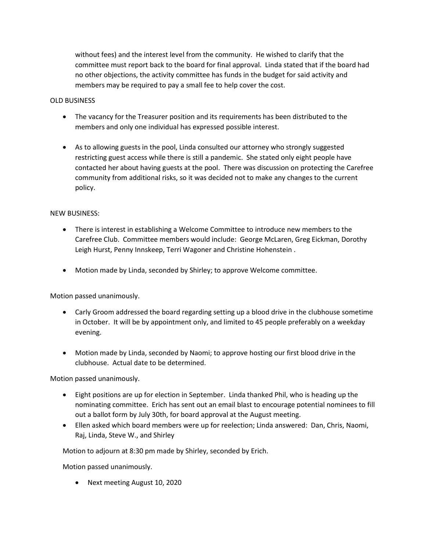without fees) and the interest level from the community. He wished to clarify that the committee must report back to the board for final approval. Linda stated that if the board had no other objections, the activity committee has funds in the budget for said activity and members may be required to pay a small fee to help cover the cost.

#### OLD BUSINESS

- The vacancy for the Treasurer position and its requirements has been distributed to the members and only one individual has expressed possible interest.
- As to allowing guests in the pool, Linda consulted our attorney who strongly suggested restricting guest access while there is still a pandemic. She stated only eight people have contacted her about having guests at the pool. There was discussion on protecting the Carefree community from additional risks, so it was decided not to make any changes to the current policy.

#### NEW BUSINESS:

- There is interest in establishing a Welcome Committee to introduce new members to the Carefree Club. Committee members would include: George McLaren, Greg Eickman, Dorothy Leigh Hurst, Penny Innskeep, Terri Wagoner and Christine Hohenstein .
- Motion made by Linda, seconded by Shirley; to approve Welcome committee.

Motion passed unanimously.

- Carly Groom addressed the board regarding setting up a blood drive in the clubhouse sometime in October. It will be by appointment only, and limited to 45 people preferably on a weekday evening.
- Motion made by Linda, seconded by Naomi; to approve hosting our first blood drive in the clubhouse. Actual date to be determined.

Motion passed unanimously.

- Eight positions are up for election in September. Linda thanked Phil, who is heading up the nominating committee. Erich has sent out an email blast to encourage potential nominees to fill out a ballot form by July 30th, for board approval at the August meeting.
- Ellen asked which board members were up for reelection; Linda answered: Dan, Chris, Naomi, Raj, Linda, Steve W., and Shirley

Motion to adjourn at 8:30 pm made by Shirley, seconded by Erich.

Motion passed unanimously.

Next meeting August 10, 2020